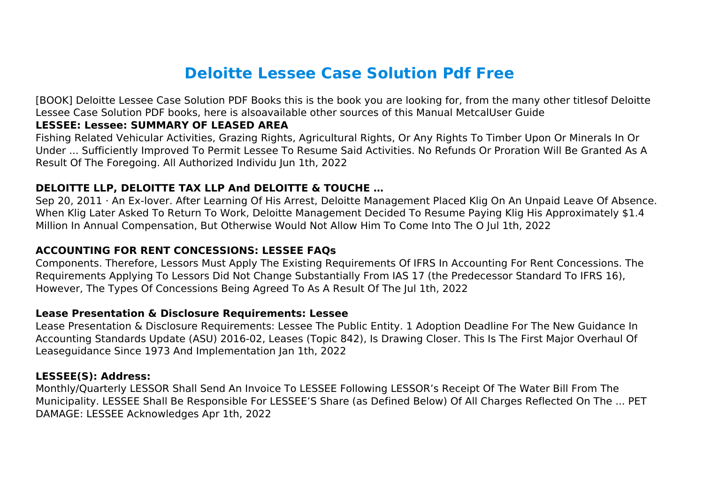# **Deloitte Lessee Case Solution Pdf Free**

[BOOK] Deloitte Lessee Case Solution PDF Books this is the book you are looking for, from the many other titlesof Deloitte Lessee Case Solution PDF books, here is alsoavailable other sources of this Manual MetcalUser Guide

# **LESSEE: Lessee: SUMMARY OF LEASED AREA**

Fishing Related Vehicular Activities, Grazing Rights, Agricultural Rights, Or Any Rights To Timber Upon Or Minerals In Or Under ... Sufficiently Improved To Permit Lessee To Resume Said Activities. No Refunds Or Proration Will Be Granted As A Result Of The Foregoing. All Authorized Individu Jun 1th, 2022

# **DELOITTE LLP, DELOITTE TAX LLP And DELOITTE & TOUCHE …**

Sep 20, 2011 · An Ex-lover. After Learning Of His Arrest, Deloitte Management Placed Klig On An Unpaid Leave Of Absence. When Klig Later Asked To Return To Work, Deloitte Management Decided To Resume Paying Klig His Approximately \$1.4 Million In Annual Compensation, But Otherwise Would Not Allow Him To Come Into The O Jul 1th, 2022

# **ACCOUNTING FOR RENT CONCESSIONS: LESSEE FAQs**

Components. Therefore, Lessors Must Apply The Existing Requirements Of IFRS In Accounting For Rent Concessions. The Requirements Applying To Lessors Did Not Change Substantially From IAS 17 (the Predecessor Standard To IFRS 16), However, The Types Of Concessions Being Agreed To As A Result Of The Jul 1th, 2022

# **Lease Presentation & Disclosure Requirements: Lessee**

Lease Presentation & Disclosure Requirements: Lessee The Public Entity. 1 Adoption Deadline For The New Guidance In Accounting Standards Update (ASU) 2016-02, Leases (Topic 842), Is Drawing Closer. This Is The First Major Overhaul Of Leaseguidance Since 1973 And Implementation Jan 1th, 2022

# **LESSEE(S): Address:**

Monthly/Quarterly LESSOR Shall Send An Invoice To LESSEE Following LESSOR's Receipt Of The Water Bill From The Municipality. LESSEE Shall Be Responsible For LESSEE'S Share (as Defined Below) Of All Charges Reflected On The ... PET DAMAGE: LESSEE Acknowledges Apr 1th, 2022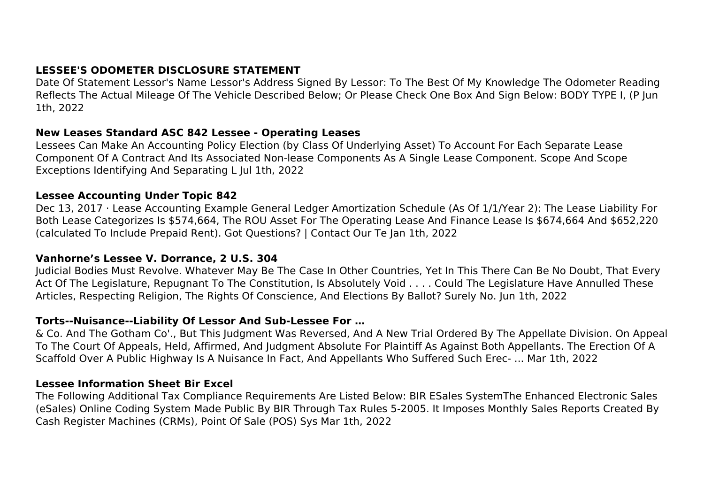# **LESSEE'S ODOMETER DISCLOSURE STATEMENT**

Date Of Statement Lessor's Name Lessor's Address Signed By Lessor: To The Best Of My Knowledge The Odometer Reading Reflects The Actual Mileage Of The Vehicle Described Below; Or Please Check One Box And Sign Below: BODY TYPE I, (P Jun 1th, 2022

#### **New Leases Standard ASC 842 Lessee - Operating Leases**

Lessees Can Make An Accounting Policy Election (by Class Of Underlying Asset) To Account For Each Separate Lease Component Of A Contract And Its Associated Non-lease Components As A Single Lease Component. Scope And Scope Exceptions Identifying And Separating L Jul 1th, 2022

# **Lessee Accounting Under Topic 842**

Dec 13, 2017 · Lease Accounting Example General Ledger Amortization Schedule (As Of 1/1/Year 2): The Lease Liability For Both Lease Categorizes Is \$574,664, The ROU Asset For The Operating Lease And Finance Lease Is \$674,664 And \$652,220 (calculated To Include Prepaid Rent). Got Questions? | Contact Our Te Jan 1th, 2022

# **Vanhorne's Lessee V. Dorrance, 2 U.S. 304**

Judicial Bodies Must Revolve. Whatever May Be The Case In Other Countries, Yet In This There Can Be No Doubt, That Every Act Of The Legislature, Repugnant To The Constitution, Is Absolutely Void . . . . Could The Legislature Have Annulled These Articles, Respecting Religion, The Rights Of Conscience, And Elections By Ballot? Surely No. Jun 1th, 2022

# **Torts--Nuisance--Liability Of Lessor And Sub-Lessee For …**

& Co. And The Gotham Co'., But This Judgment Was Reversed, And A New Trial Ordered By The Appellate Division. On Appeal To The Court Of Appeals, Held, Affirmed, And Judgment Absolute For Plaintiff As Against Both Appellants. The Erection Of A Scaffold Over A Public Highway Is A Nuisance In Fact, And Appellants Who Suffered Such Erec- ... Mar 1th, 2022

# **Lessee Information Sheet Bir Excel**

The Following Additional Tax Compliance Requirements Are Listed Below: BIR ESales SystemThe Enhanced Electronic Sales (eSales) Online Coding System Made Public By BIR Through Tax Rules 5-2005. It Imposes Monthly Sales Reports Created By Cash Register Machines (CRMs), Point Of Sale (POS) Sys Mar 1th, 2022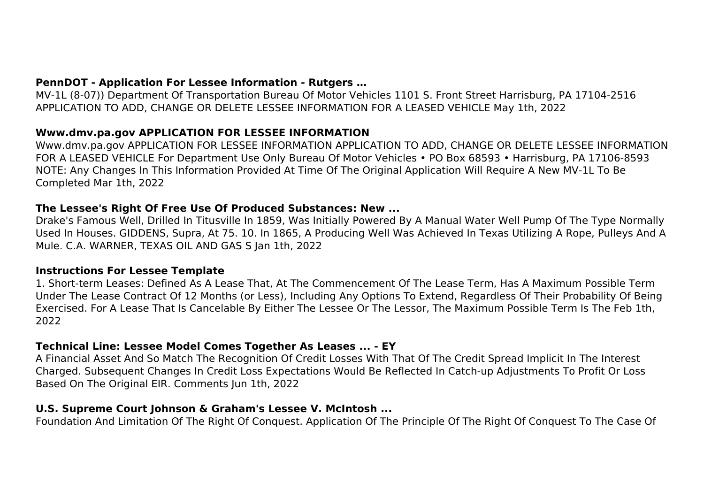MV-1L (8-07)) Department Of Transportation Bureau Of Motor Vehicles 1101 S. Front Street Harrisburg, PA 17104-2516 APPLICATION TO ADD, CHANGE OR DELETE LESSEE INFORMATION FOR A LEASED VEHICLE May 1th, 2022

# **Www.dmv.pa.gov APPLICATION FOR LESSEE INFORMATION**

Www.dmv.pa.gov APPLICATION FOR LESSEE INFORMATION APPLICATION TO ADD, CHANGE OR DELETE LESSEE INFORMATION FOR A LEASED VEHICLE For Department Use Only Bureau Of Motor Vehicles • PO Box 68593 • Harrisburg, PA 17106-8593 NOTE: Any Changes In This Information Provided At Time Of The Original Application Will Require A New MV-1L To Be Completed Mar 1th, 2022

# **The Lessee's Right Of Free Use Of Produced Substances: New ...**

Drake's Famous Well, Drilled In Titusville In 1859, Was Initially Powered By A Manual Water Well Pump Of The Type Normally Used In Houses. GIDDENS, Supra, At 75. 10. In 1865, A Producing Well Was Achieved In Texas Utilizing A Rope, Pulleys And A Mule. C.A. WARNER, TEXAS OIL AND GAS S Jan 1th, 2022

# **Instructions For Lessee Template**

1. Short-term Leases: Defined As A Lease That, At The Commencement Of The Lease Term, Has A Maximum Possible Term Under The Lease Contract Of 12 Months (or Less), Including Any Options To Extend, Regardless Of Their Probability Of Being Exercised. For A Lease That Is Cancelable By Either The Lessee Or The Lessor, The Maximum Possible Term Is The Feb 1th, 2022

# **Technical Line: Lessee Model Comes Together As Leases ... - EY**

A Financial Asset And So Match The Recognition Of Credit Losses With That Of The Credit Spread Implicit In The Interest Charged. Subsequent Changes In Credit Loss Expectations Would Be Reflected In Catch-up Adjustments To Profit Or Loss Based On The Original EIR. Comments Jun 1th, 2022

# **U.S. Supreme Court Johnson & Graham's Lessee V. McIntosh ...**

Foundation And Limitation Of The Right Of Conquest. Application Of The Principle Of The Right Of Conquest To The Case Of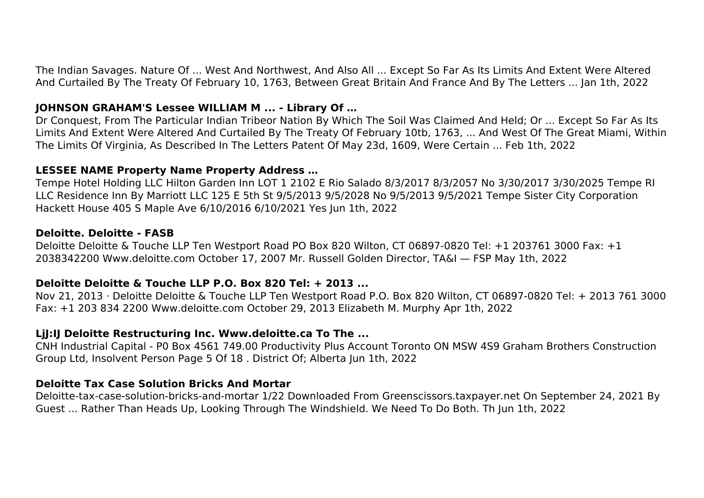The Indian Savages. Nature Of ... West And Northwest, And Also All ... Except So Far As Its Limits And Extent Were Altered And Curtailed By The Treaty Of February 10, 1763, Between Great Britain And France And By The Letters ... Jan 1th, 2022

# **JOHNSON GRAHAM'S Lessee WILLIAM M ... - Library Of …**

Dr Conquest, From The Particular Indian Tribeor Nation By Which The Soil Was Claimed And Held; Or ... Except So Far As Its Limits And Extent Were Altered And Curtailed By The Treaty Of February 10tb, 1763, ... And West Of The Great Miami, Within The Limits Of Virginia, As Described In The Letters Patent Of May 23d, 1609, Were Certain ... Feb 1th, 2022

# **LESSEE NAME Property Name Property Address …**

Tempe Hotel Holding LLC Hilton Garden Inn LOT 1 2102 E Rio Salado 8/3/2017 8/3/2057 No 3/30/2017 3/30/2025 Tempe RI LLC Residence Inn By Marriott LLC 125 E 5th St 9/5/2013 9/5/2028 No 9/5/2013 9/5/2021 Tempe Sister City Corporation Hackett House 405 S Maple Ave 6/10/2016 6/10/2021 Yes Jun 1th, 2022

# **Deloitte. Deloitte - FASB**

Deloitte Deloitte & Touche LLP Ten Westport Road PO Box 820 Wilton, CT 06897-0820 Tel: +1 203761 3000 Fax: +1 2038342200 Www.deloitte.com October 17, 2007 Mr. Russell Golden Director, TA&I — FSP May 1th, 2022

# **Deloitte Deloitte & Touche LLP P.O. Box 820 Tel: + 2013 ...**

Nov 21, 2013 · Deloitte Deloitte & Touche LLP Ten Westport Road P.O. Box 820 Wilton, CT 06897-0820 Tel: + 2013 761 3000 Fax: +1 203 834 2200 Www.deloitte.com October 29, 2013 Elizabeth M. Murphy Apr 1th, 2022

# **LjJ:IJ Deloitte Restructuring Inc. Www.deloitte.ca To The ...**

CNH Industrial Capital - P0 Box 4561 749.00 Productivity Plus Account Toronto ON MSW 4S9 Graham Brothers Construction Group Ltd, Insolvent Person Page 5 Of 18 . District Of; Alberta Jun 1th, 2022

# **Deloitte Tax Case Solution Bricks And Mortar**

Deloitte-tax-case-solution-bricks-and-mortar 1/22 Downloaded From Greenscissors.taxpayer.net On September 24, 2021 By Guest ... Rather Than Heads Up, Looking Through The Windshield. We Need To Do Both. Th Jun 1th, 2022